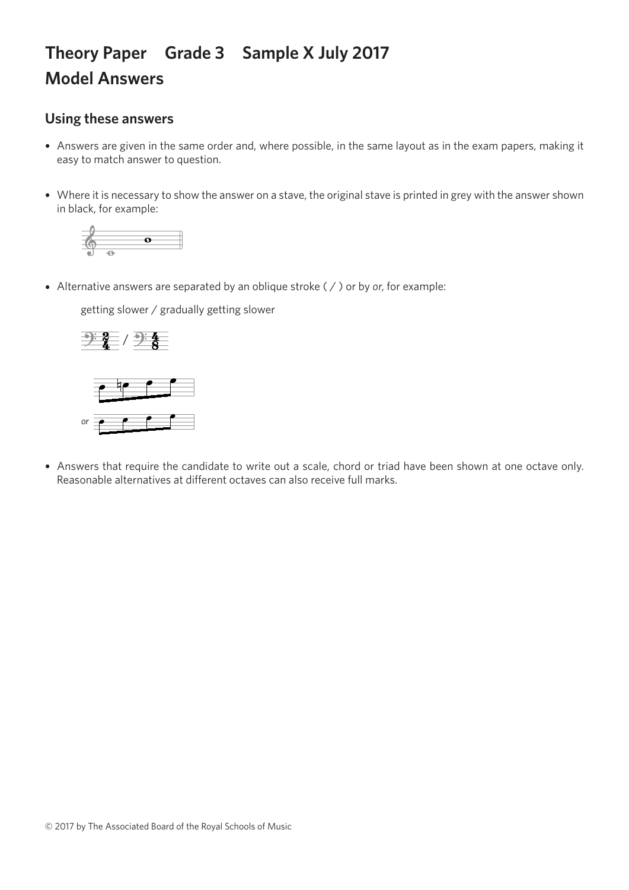## **Theory Paper Grade 3 Sample X July 2017 Model Answers**

## **Using these answers**

- Answers are given in the same order and, where possible, in the same layout as in the exam papers, making it easy to match answer to question.
- Where it is necessary to show the answer on a stave, the original stave is printed in grey with the answer shown in black, for example:



• Alternative answers are separated by an oblique stroke ( / ) or by *or*, for example:

getting slower / gradually getting slower getting slower / gradually getting slower getting slower / gradually getting slower



*or or*

• Answers that require the candidate to write out a scale, chord or triad have been shown at one octave only. Reasonable alternatives at different octaves can also receive full marks.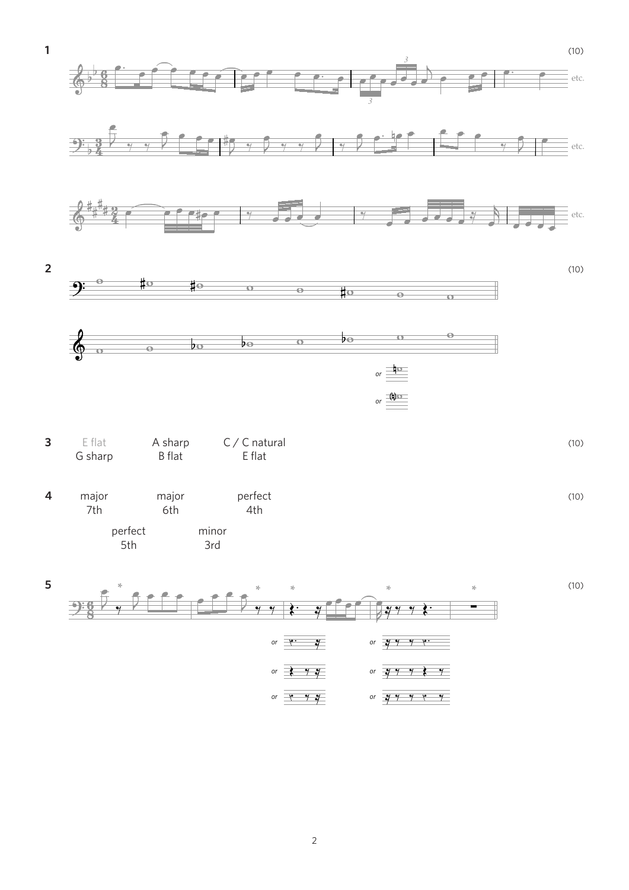







$$
or \frac{(\phi)\circ}{\phi}
$$

| major<br>4<br>7th | major<br>6th | perfect<br>4th |
|-------------------|--------------|----------------|
|                   | perfect      | minor          |

5th 3rd